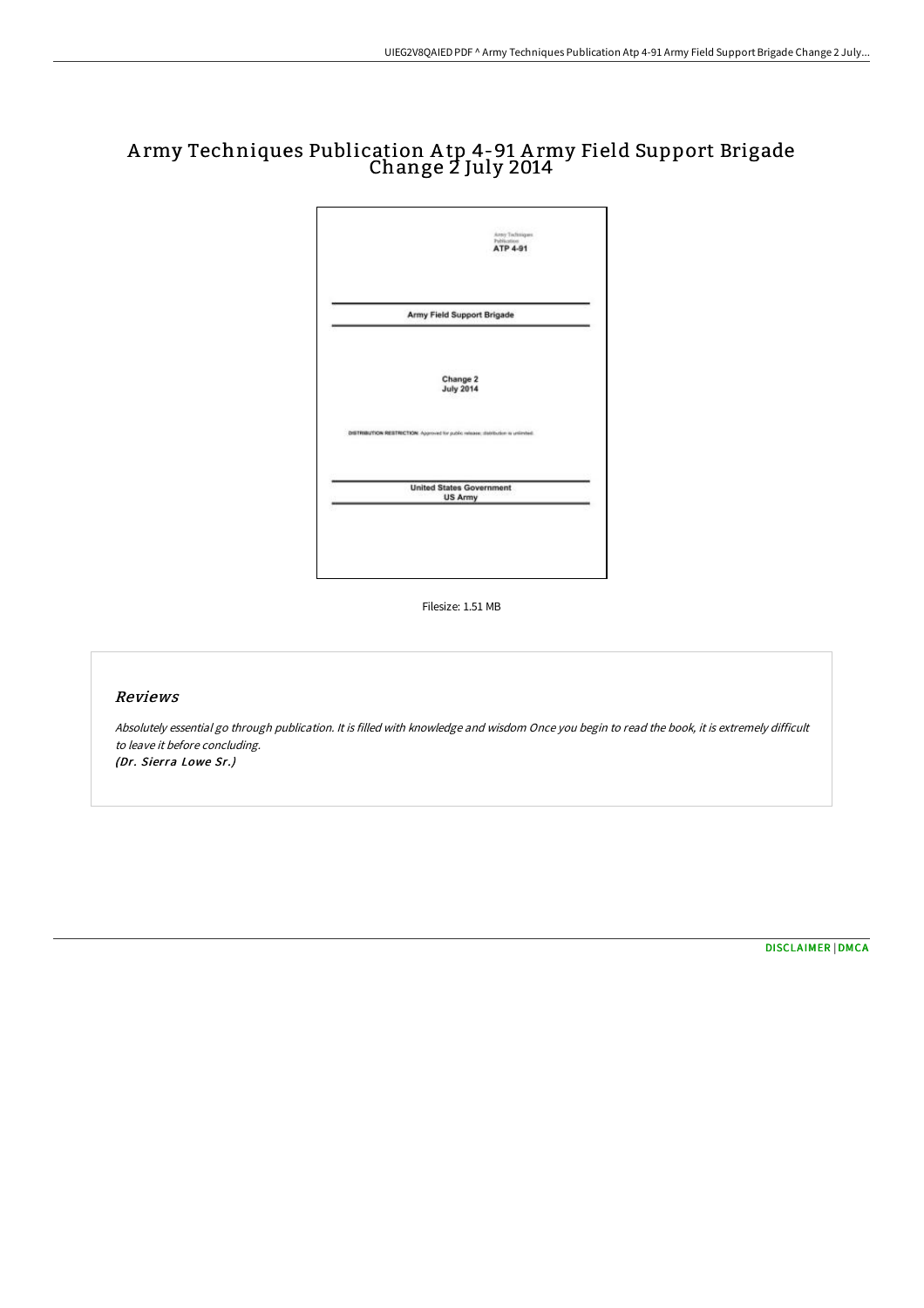## A rmy Techniques Publication A tp 4-91 A rmy Field Support Brigade Change 2 July 2014



Filesize: 1.51 MB

## Reviews

Absolutely essential go through publication. It is filled with knowledge and wisdom Once you begin to read the book, it is extremely difficult to leave it before concluding. (Dr. Sierra Lowe Sr.)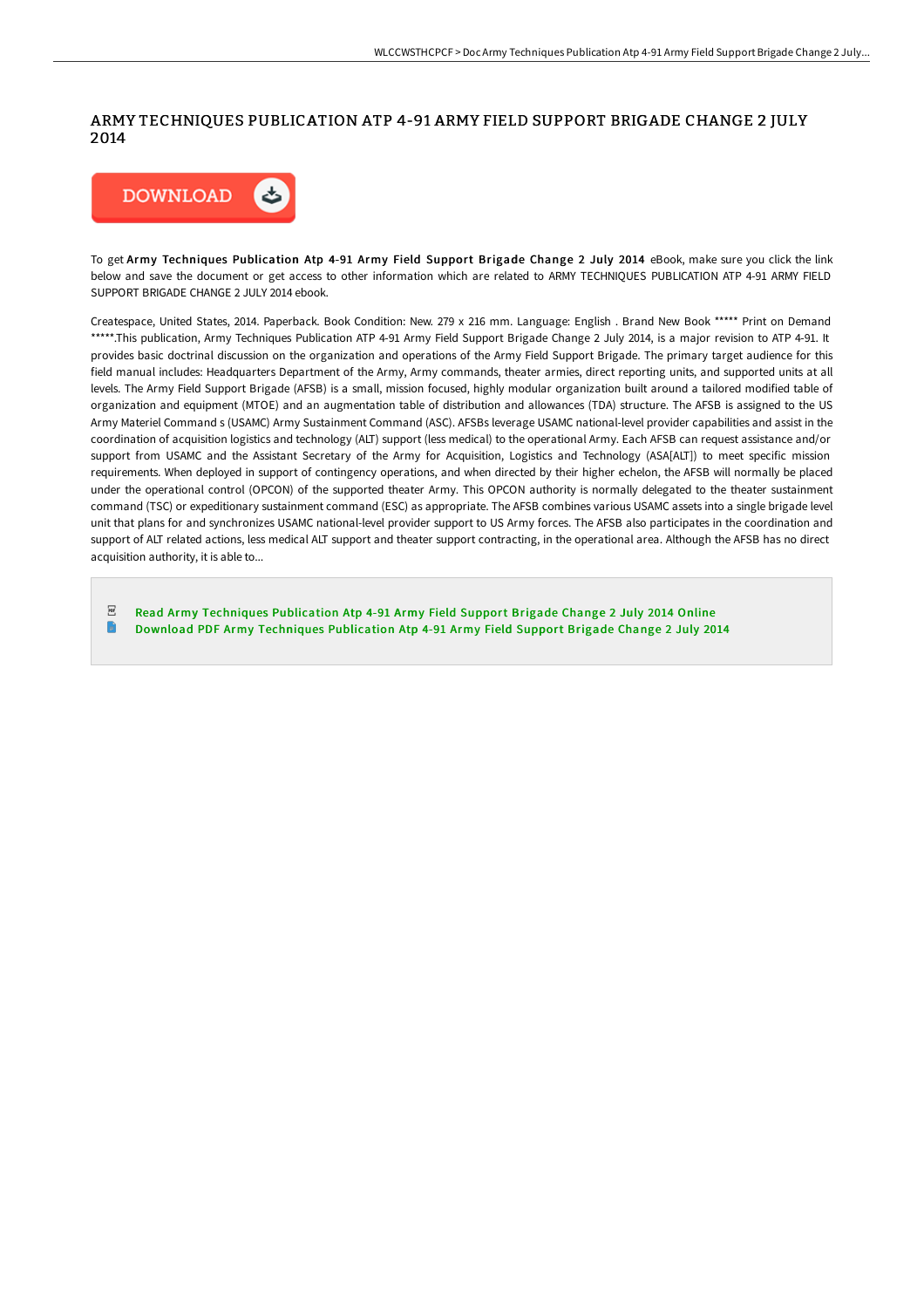## ARMY TECHNIQUES PUBLICATION ATP 4-91 ARMY FIELD SUPPORT BRIGADE CHANGE 2 JULY 2014



To get Army Techniques Publication Atp 4-91 Army Field Support Brigade Change 2 July 2014 eBook, make sure you click the link below and save the document or get access to other information which are related to ARMY TECHNIQUES PUBLICATION ATP 4-91 ARMY FIELD SUPPORT BRIGADE CHANGE 2 JULY 2014 ebook.

Createspace, United States, 2014. Paperback. Book Condition: New. 279 x 216 mm. Language: English . Brand New Book \*\*\*\*\* Print on Demand \*\*\*\*\*.This publication, Army Techniques Publication ATP 4-91 Army Field Support Brigade Change 2 July 2014, is a major revision to ATP 4-91. It provides basic doctrinal discussion on the organization and operations of the Army Field Support Brigade. The primary target audience for this field manual includes: Headquarters Department of the Army, Army commands, theater armies, direct reporting units, and supported units at all levels. The Army Field Support Brigade (AFSB) is a small, mission focused, highly modular organization built around a tailored modified table of organization and equipment (MTOE) and an augmentation table of distribution and allowances (TDA) structure. The AFSB is assigned to the US Army Materiel Command s (USAMC) Army Sustainment Command (ASC). AFSBs leverage USAMC national-level provider capabilities and assist in the coordination of acquisition logistics and technology (ALT) support (less medical) to the operational Army. Each AFSB can request assistance and/or support from USAMC and the Assistant Secretary of the Army for Acquisition, Logistics and Technology (ASA[ALT]) to meet specific mission requirements. When deployed in support of contingency operations, and when directed by their higher echelon, the AFSB will normally be placed under the operational control (OPCON) of the supported theater Army. This OPCON authority is normally delegated to the theater sustainment command (TSC) or expeditionary sustainment command (ESC) as appropriate. The AFSB combines various USAMC assets into a single brigade level unit that plans for and synchronizes USAMC national-level provider support to US Army forces. The AFSB also participates in the coordination and support of ALT related actions, less medical ALT support and theater support contracting, in the operational area. Although the AFSB has no direct acquisition authority, it is able to...

 $_{\rm PDF}$ Read Army Techniques [Publication](http://bookera.tech/army-techniques-publication-atp-4-91-army-field-.html) Atp 4-91 Army Field Support Brigade Change 2 July 2014 Online R Download PDF Army Techniques [Publication](http://bookera.tech/army-techniques-publication-atp-4-91-army-field-.html) Atp 4-91 Army Field Support Brigade Change 2 July 2014